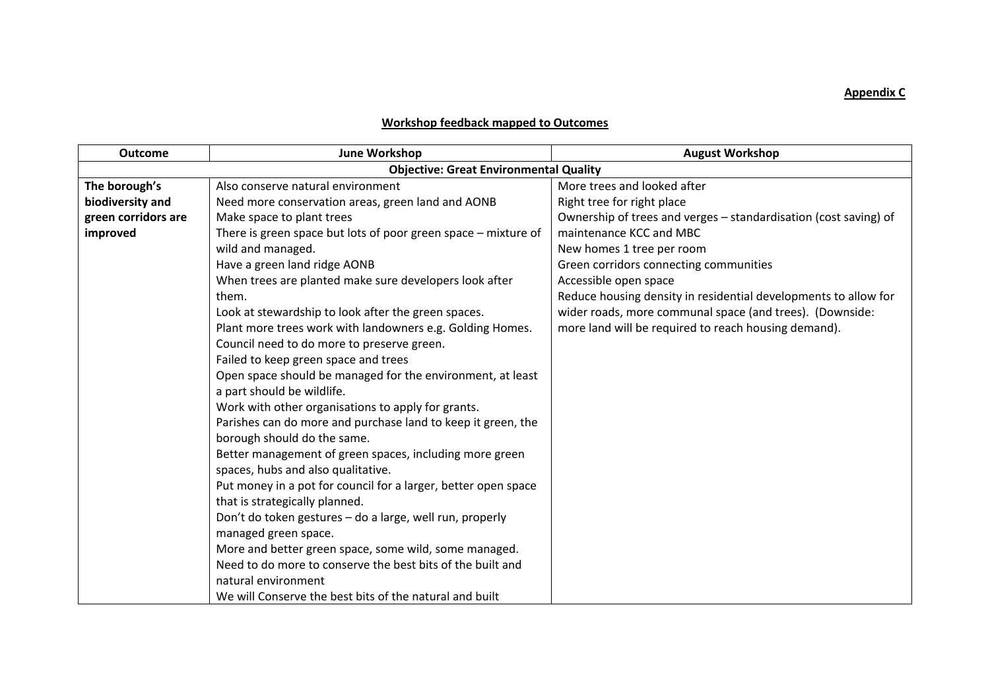## **Appendix C**

## **Workshop feedback mapped to Outcomes**

| <b>Outcome</b>      | <b>June Workshop</b>                                           | <b>August Workshop</b>                                           |
|---------------------|----------------------------------------------------------------|------------------------------------------------------------------|
|                     | <b>Objective: Great Environmental Quality</b>                  |                                                                  |
| The borough's       | Also conserve natural environment                              | More trees and looked after                                      |
| biodiversity and    | Need more conservation areas, green land and AONB              | Right tree for right place                                       |
| green corridors are | Make space to plant trees                                      | Ownership of trees and verges - standardisation (cost saving) of |
| improved            | There is green space but lots of poor green space - mixture of | maintenance KCC and MBC                                          |
|                     | wild and managed.                                              | New homes 1 tree per room                                        |
|                     | Have a green land ridge AONB                                   | Green corridors connecting communities                           |
|                     | When trees are planted make sure developers look after         | Accessible open space                                            |
|                     | them.                                                          | Reduce housing density in residential developments to allow for  |
|                     | Look at stewardship to look after the green spaces.            | wider roads, more communal space (and trees). (Downside:         |
|                     | Plant more trees work with landowners e.g. Golding Homes.      | more land will be required to reach housing demand).             |
|                     | Council need to do more to preserve green.                     |                                                                  |
|                     | Failed to keep green space and trees                           |                                                                  |
|                     | Open space should be managed for the environment, at least     |                                                                  |
|                     | a part should be wildlife.                                     |                                                                  |
|                     | Work with other organisations to apply for grants.             |                                                                  |
|                     | Parishes can do more and purchase land to keep it green, the   |                                                                  |
|                     | borough should do the same.                                    |                                                                  |
|                     | Better management of green spaces, including more green        |                                                                  |
|                     | spaces, hubs and also qualitative.                             |                                                                  |
|                     | Put money in a pot for council for a larger, better open space |                                                                  |
|                     | that is strategically planned.                                 |                                                                  |
|                     | Don't do token gestures - do a large, well run, properly       |                                                                  |
|                     | managed green space.                                           |                                                                  |
|                     | More and better green space, some wild, some managed.          |                                                                  |
|                     | Need to do more to conserve the best bits of the built and     |                                                                  |
|                     | natural environment                                            |                                                                  |
|                     | We will Conserve the best bits of the natural and built        |                                                                  |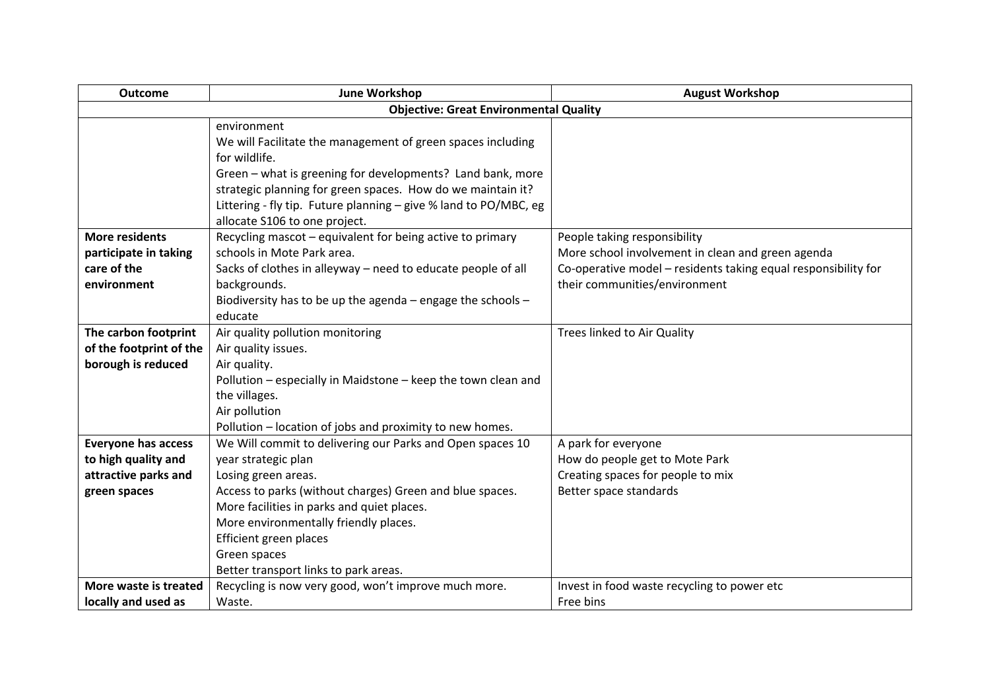| <b>Outcome</b>             | <b>June Workshop</b>                                             | <b>August Workshop</b>                                         |
|----------------------------|------------------------------------------------------------------|----------------------------------------------------------------|
|                            | <b>Objective: Great Environmental Quality</b>                    |                                                                |
|                            | environment                                                      |                                                                |
|                            | We will Facilitate the management of green spaces including      |                                                                |
|                            | for wildlife.                                                    |                                                                |
|                            | Green - what is greening for developments? Land bank, more       |                                                                |
|                            | strategic planning for green spaces. How do we maintain it?      |                                                                |
|                            | Littering - fly tip. Future planning - give % land to PO/MBC, eg |                                                                |
|                            | allocate S106 to one project.                                    |                                                                |
| <b>More residents</b>      | Recycling mascot - equivalent for being active to primary        | People taking responsibility                                   |
| participate in taking      | schools in Mote Park area.                                       | More school involvement in clean and green agenda              |
| care of the                | Sacks of clothes in alleyway - need to educate people of all     | Co-operative model - residents taking equal responsibility for |
| environment                | backgrounds.                                                     | their communities/environment                                  |
|                            | Biodiversity has to be up the agenda - engage the schools -      |                                                                |
|                            | educate                                                          |                                                                |
| The carbon footprint       | Air quality pollution monitoring                                 | Trees linked to Air Quality                                    |
| of the footprint of the    | Air quality issues.                                              |                                                                |
| borough is reduced         | Air quality.                                                     |                                                                |
|                            | Pollution - especially in Maidstone - keep the town clean and    |                                                                |
|                            | the villages.                                                    |                                                                |
|                            | Air pollution                                                    |                                                                |
|                            | Pollution - location of jobs and proximity to new homes.         |                                                                |
| <b>Everyone has access</b> | We Will commit to delivering our Parks and Open spaces 10        | A park for everyone                                            |
| to high quality and        | year strategic plan                                              | How do people get to Mote Park                                 |
| attractive parks and       | Losing green areas.                                              | Creating spaces for people to mix                              |
| green spaces               | Access to parks (without charges) Green and blue spaces.         | Better space standards                                         |
|                            | More facilities in parks and quiet places.                       |                                                                |
|                            | More environmentally friendly places.                            |                                                                |
|                            | Efficient green places                                           |                                                                |
|                            | Green spaces                                                     |                                                                |
|                            | Better transport links to park areas.                            |                                                                |
| More waste is treated      | Recycling is now very good, won't improve much more.             | Invest in food waste recycling to power etc                    |
| locally and used as        | Waste.                                                           | Free bins                                                      |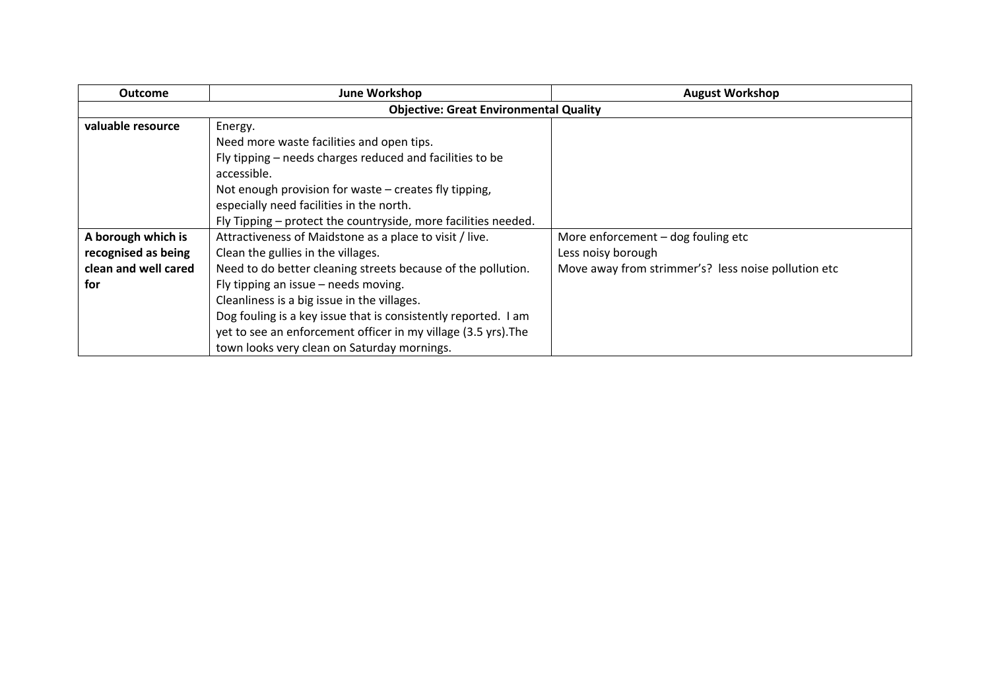| <b>Outcome</b>       | <b>June Workshop</b>                                           | <b>August Workshop</b>                              |
|----------------------|----------------------------------------------------------------|-----------------------------------------------------|
|                      | <b>Objective: Great Environmental Quality</b>                  |                                                     |
| valuable resource    | Energy.                                                        |                                                     |
|                      | Need more waste facilities and open tips.                      |                                                     |
|                      | Fly tipping – needs charges reduced and facilities to be       |                                                     |
|                      | accessible.                                                    |                                                     |
|                      | Not enough provision for waste – creates fly tipping,          |                                                     |
|                      | especially need facilities in the north.                       |                                                     |
|                      | Fly Tipping – protect the countryside, more facilities needed. |                                                     |
| A borough which is   | Attractiveness of Maidstone as a place to visit / live.        | More enforcement $-$ dog fouling etc                |
| recognised as being  | Clean the gullies in the villages.                             | Less noisy borough                                  |
| clean and well cared | Need to do better cleaning streets because of the pollution.   | Move away from strimmer's? less noise pollution etc |
| for                  | Fly tipping an issue - needs moving.                           |                                                     |
|                      | Cleanliness is a big issue in the villages.                    |                                                     |
|                      | Dog fouling is a key issue that is consistently reported. I am |                                                     |
|                      | yet to see an enforcement officer in my village (3.5 yrs). The |                                                     |
|                      | town looks very clean on Saturday mornings.                    |                                                     |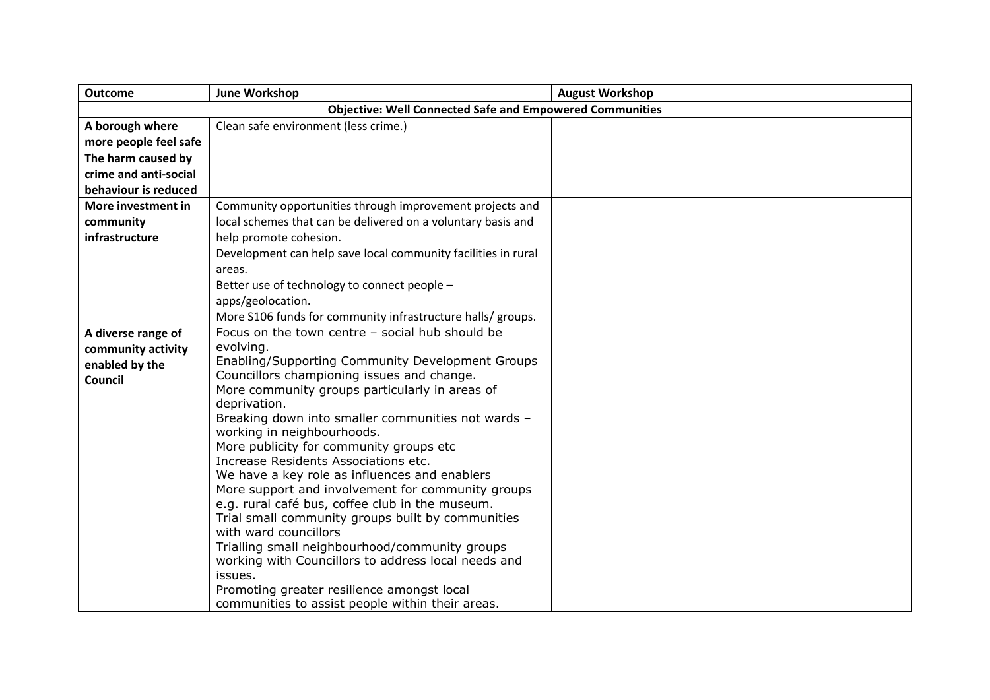| <b>Outcome</b>        | June Workshop                                                   | <b>August Workshop</b> |
|-----------------------|-----------------------------------------------------------------|------------------------|
|                       | <b>Objective: Well Connected Safe and Empowered Communities</b> |                        |
| A borough where       | Clean safe environment (less crime.)                            |                        |
| more people feel safe |                                                                 |                        |
| The harm caused by    |                                                                 |                        |
| crime and anti-social |                                                                 |                        |
| behaviour is reduced  |                                                                 |                        |
| More investment in    | Community opportunities through improvement projects and        |                        |
| community             | local schemes that can be delivered on a voluntary basis and    |                        |
| infrastructure        | help promote cohesion.                                          |                        |
|                       | Development can help save local community facilities in rural   |                        |
|                       | areas.                                                          |                        |
|                       | Better use of technology to connect people -                    |                        |
|                       | apps/geolocation.                                               |                        |
|                       | More S106 funds for community infrastructure halls/ groups.     |                        |
| A diverse range of    | Focus on the town centre - social hub should be                 |                        |
| community activity    | evolving.                                                       |                        |
| enabled by the        | Enabling/Supporting Community Development Groups                |                        |
| Council               | Councillors championing issues and change.                      |                        |
|                       | More community groups particularly in areas of<br>deprivation.  |                        |
|                       | Breaking down into smaller communities not wards -              |                        |
|                       | working in neighbourhoods.                                      |                        |
|                       | More publicity for community groups etc                         |                        |
|                       | Increase Residents Associations etc.                            |                        |
|                       | We have a key role as influences and enablers                   |                        |
|                       | More support and involvement for community groups               |                        |
|                       | e.g. rural café bus, coffee club in the museum.                 |                        |
|                       | Trial small community groups built by communities               |                        |
|                       | with ward councillors                                           |                        |
|                       | Trialling small neighbourhood/community groups                  |                        |
|                       | working with Councillors to address local needs and<br>issues.  |                        |
|                       | Promoting greater resilience amongst local                      |                        |
|                       | communities to assist people within their areas.                |                        |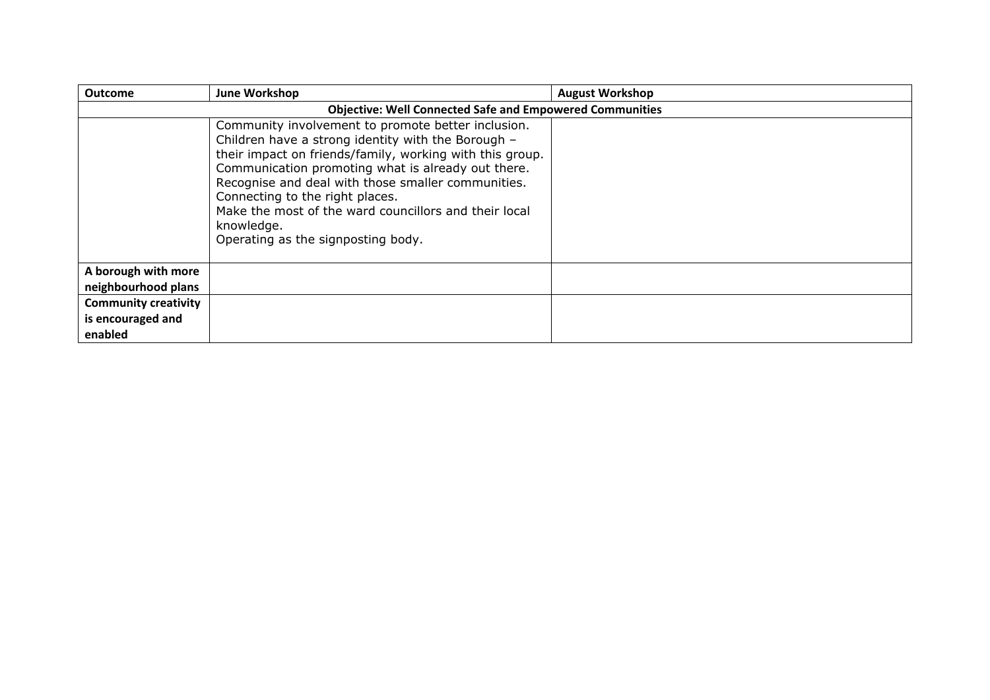| <b>Outcome</b>                                              | June Workshop                                                                                                                                                                                                                                                                                                                                                                                                                    | <b>August Workshop</b> |
|-------------------------------------------------------------|----------------------------------------------------------------------------------------------------------------------------------------------------------------------------------------------------------------------------------------------------------------------------------------------------------------------------------------------------------------------------------------------------------------------------------|------------------------|
|                                                             | <b>Objective: Well Connected Safe and Empowered Communities</b>                                                                                                                                                                                                                                                                                                                                                                  |                        |
|                                                             | Community involvement to promote better inclusion.<br>Children have a strong identity with the Borough -<br>their impact on friends/family, working with this group.<br>Communication promoting what is already out there.<br>Recognise and deal with those smaller communities.<br>Connecting to the right places.<br>Make the most of the ward councillors and their local<br>knowledge.<br>Operating as the signposting body. |                        |
| A borough with more<br>neighbourhood plans                  |                                                                                                                                                                                                                                                                                                                                                                                                                                  |                        |
| <b>Community creativity</b><br>is encouraged and<br>enabled |                                                                                                                                                                                                                                                                                                                                                                                                                                  |                        |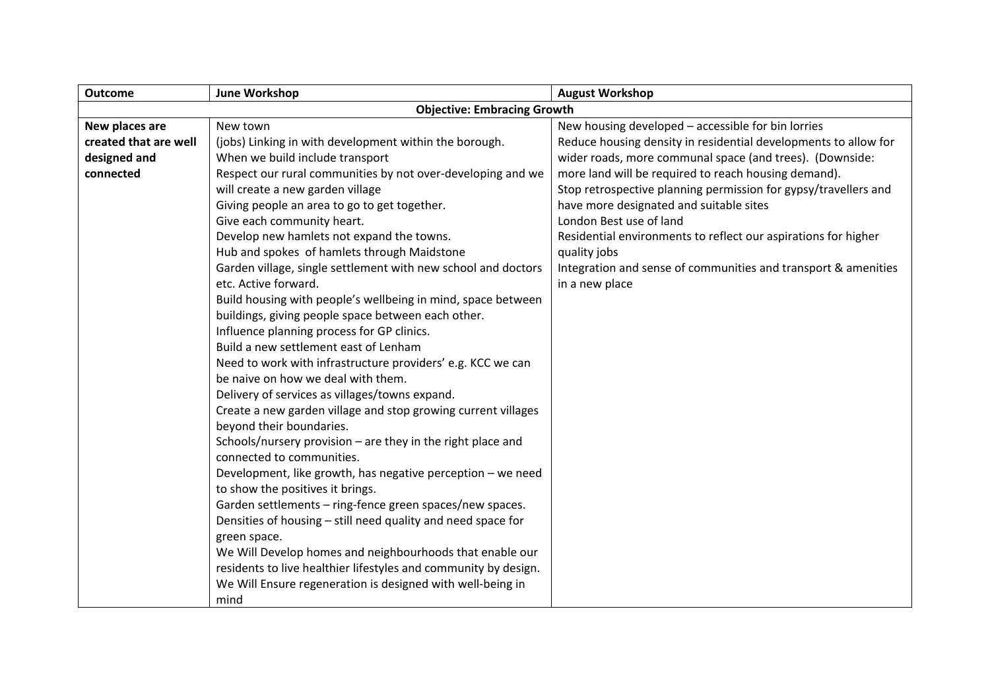| <b>Outcome</b>        | <b>June Workshop</b>                                            | <b>August Workshop</b>                                          |
|-----------------------|-----------------------------------------------------------------|-----------------------------------------------------------------|
|                       | <b>Objective: Embracing Growth</b>                              |                                                                 |
| New places are        | New town                                                        | New housing developed - accessible for bin lorries              |
| created that are well | (jobs) Linking in with development within the borough.          | Reduce housing density in residential developments to allow for |
| designed and          | When we build include transport                                 | wider roads, more communal space (and trees). (Downside:        |
| connected             | Respect our rural communities by not over-developing and we     | more land will be required to reach housing demand).            |
|                       | will create a new garden village                                | Stop retrospective planning permission for gypsy/travellers and |
|                       | Giving people an area to go to get together.                    | have more designated and suitable sites                         |
|                       | Give each community heart.                                      | London Best use of land                                         |
|                       | Develop new hamlets not expand the towns.                       | Residential environments to reflect our aspirations for higher  |
|                       | Hub and spokes of hamlets through Maidstone                     | quality jobs                                                    |
|                       | Garden village, single settlement with new school and doctors   | Integration and sense of communities and transport & amenities  |
|                       | etc. Active forward.                                            | in a new place                                                  |
|                       | Build housing with people's wellbeing in mind, space between    |                                                                 |
|                       | buildings, giving people space between each other.              |                                                                 |
|                       | Influence planning process for GP clinics.                      |                                                                 |
|                       | Build a new settlement east of Lenham                           |                                                                 |
|                       | Need to work with infrastructure providers' e.g. KCC we can     |                                                                 |
|                       | be naive on how we deal with them.                              |                                                                 |
|                       | Delivery of services as villages/towns expand.                  |                                                                 |
|                       | Create a new garden village and stop growing current villages   |                                                                 |
|                       | beyond their boundaries.                                        |                                                                 |
|                       | Schools/nursery provision - are they in the right place and     |                                                                 |
|                       | connected to communities.                                       |                                                                 |
|                       | Development, like growth, has negative perception - we need     |                                                                 |
|                       | to show the positives it brings.                                |                                                                 |
|                       | Garden settlements - ring-fence green spaces/new spaces.        |                                                                 |
|                       | Densities of housing - still need quality and need space for    |                                                                 |
|                       | green space.                                                    |                                                                 |
|                       | We Will Develop homes and neighbourhoods that enable our        |                                                                 |
|                       | residents to live healthier lifestyles and community by design. |                                                                 |
|                       | We Will Ensure regeneration is designed with well-being in      |                                                                 |
|                       | mind                                                            |                                                                 |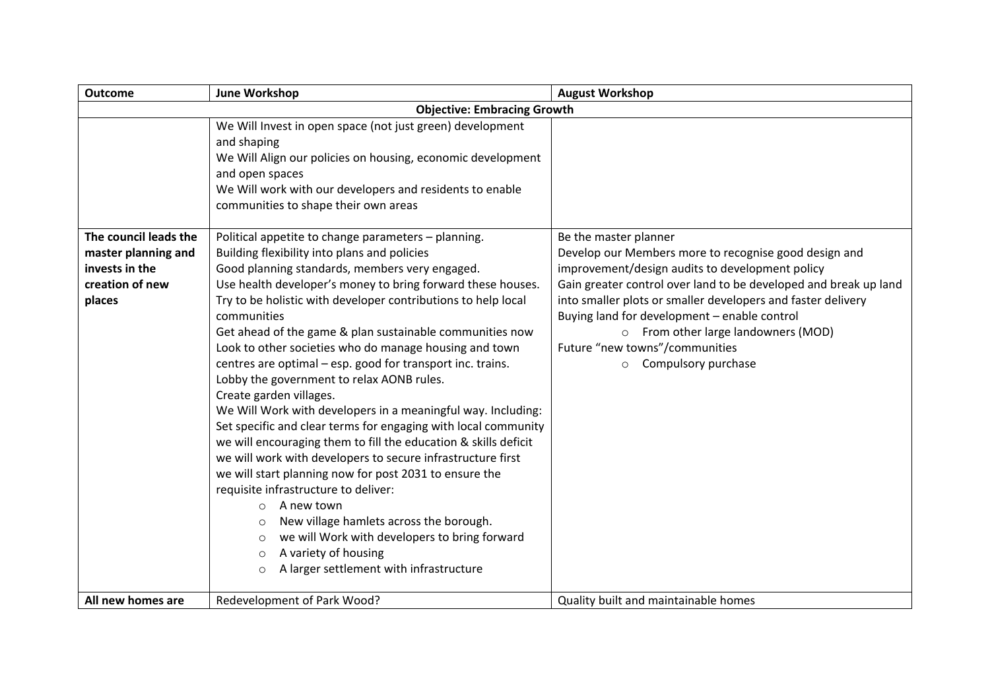| <b>Outcome</b>                        | <b>June Workshop</b>                                                                                                                                                                                                                                                                                                                                                                                                                                                                                                                                                                                                                                                                                                                                                                                                                                                                                                                               | <b>August Workshop</b>                                                                                                                                                                                                  |
|---------------------------------------|----------------------------------------------------------------------------------------------------------------------------------------------------------------------------------------------------------------------------------------------------------------------------------------------------------------------------------------------------------------------------------------------------------------------------------------------------------------------------------------------------------------------------------------------------------------------------------------------------------------------------------------------------------------------------------------------------------------------------------------------------------------------------------------------------------------------------------------------------------------------------------------------------------------------------------------------------|-------------------------------------------------------------------------------------------------------------------------------------------------------------------------------------------------------------------------|
|                                       | <b>Objective: Embracing Growth</b>                                                                                                                                                                                                                                                                                                                                                                                                                                                                                                                                                                                                                                                                                                                                                                                                                                                                                                                 |                                                                                                                                                                                                                         |
|                                       | We Will Invest in open space (not just green) development<br>and shaping<br>We Will Align our policies on housing, economic development<br>and open spaces<br>We Will work with our developers and residents to enable<br>communities to shape their own areas                                                                                                                                                                                                                                                                                                                                                                                                                                                                                                                                                                                                                                                                                     |                                                                                                                                                                                                                         |
| The council leads the                 | Political appetite to change parameters - planning.                                                                                                                                                                                                                                                                                                                                                                                                                                                                                                                                                                                                                                                                                                                                                                                                                                                                                                | Be the master planner                                                                                                                                                                                                   |
| master planning and<br>invests in the | Building flexibility into plans and policies<br>Good planning standards, members very engaged.                                                                                                                                                                                                                                                                                                                                                                                                                                                                                                                                                                                                                                                                                                                                                                                                                                                     | Develop our Members more to recognise good design and<br>improvement/design audits to development policy                                                                                                                |
| creation of new                       | Use health developer's money to bring forward these houses.                                                                                                                                                                                                                                                                                                                                                                                                                                                                                                                                                                                                                                                                                                                                                                                                                                                                                        | Gain greater control over land to be developed and break up land                                                                                                                                                        |
| places                                | Try to be holistic with developer contributions to help local<br>communities<br>Get ahead of the game & plan sustainable communities now<br>Look to other societies who do manage housing and town<br>centres are optimal - esp. good for transport inc. trains.<br>Lobby the government to relax AONB rules.<br>Create garden villages.<br>We Will Work with developers in a meaningful way. Including:<br>Set specific and clear terms for engaging with local community<br>we will encouraging them to fill the education & skills deficit<br>we will work with developers to secure infrastructure first<br>we will start planning now for post 2031 to ensure the<br>requisite infrastructure to deliver:<br>A new town<br>$\circ$<br>New village hamlets across the borough.<br>$\circ$<br>we will Work with developers to bring forward<br>$\circ$<br>A variety of housing<br>$\circ$<br>A larger settlement with infrastructure<br>$\circ$ | into smaller plots or smaller developers and faster delivery<br>Buying land for development - enable control<br>o From other large landowners (MOD)<br>Future "new towns"/communities<br>Compulsory purchase<br>$\circ$ |
| All new homes are                     | Redevelopment of Park Wood?                                                                                                                                                                                                                                                                                                                                                                                                                                                                                                                                                                                                                                                                                                                                                                                                                                                                                                                        | Quality built and maintainable homes                                                                                                                                                                                    |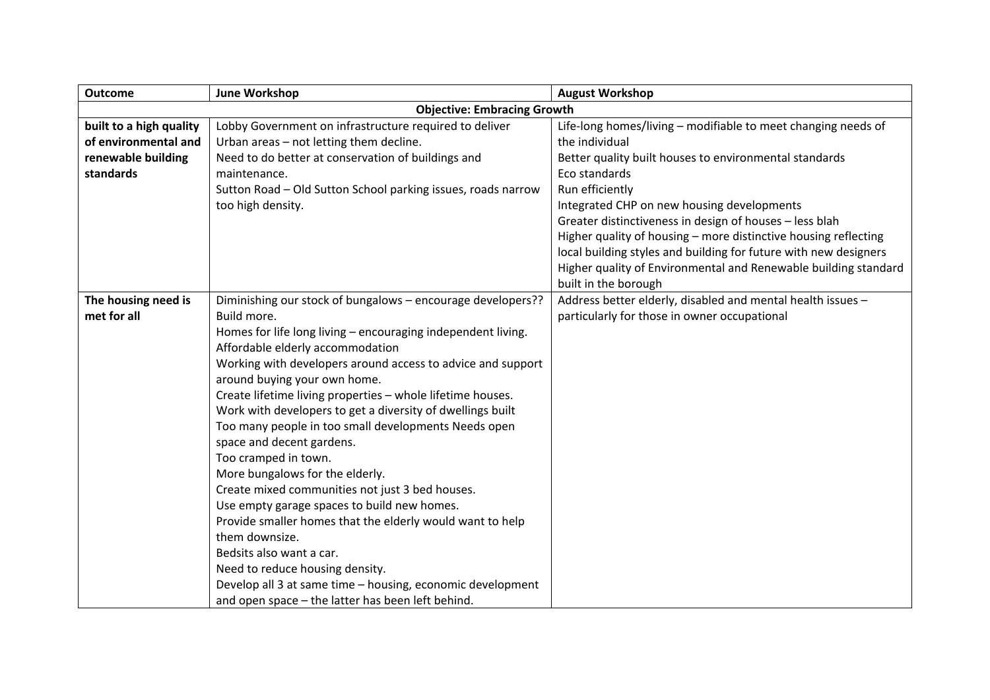| <b>Outcome</b>          | <b>June Workshop</b>                                         | <b>August Workshop</b>                                           |
|-------------------------|--------------------------------------------------------------|------------------------------------------------------------------|
|                         | <b>Objective: Embracing Growth</b>                           |                                                                  |
| built to a high quality | Lobby Government on infrastructure required to deliver       | Life-long homes/living - modifiable to meet changing needs of    |
| of environmental and    | Urban areas - not letting them decline.                      | the individual                                                   |
| renewable building      | Need to do better at conservation of buildings and           | Better quality built houses to environmental standards           |
| standards               | maintenance.                                                 | Eco standards                                                    |
|                         | Sutton Road - Old Sutton School parking issues, roads narrow | Run efficiently                                                  |
|                         | too high density.                                            | Integrated CHP on new housing developments                       |
|                         |                                                              | Greater distinctiveness in design of houses - less blah          |
|                         |                                                              | Higher quality of housing - more distinctive housing reflecting  |
|                         |                                                              | local building styles and building for future with new designers |
|                         |                                                              | Higher quality of Environmental and Renewable building standard  |
|                         |                                                              | built in the borough                                             |
| The housing need is     | Diminishing our stock of bungalows - encourage developers??  | Address better elderly, disabled and mental health issues -      |
| met for all             | Build more.                                                  | particularly for those in owner occupational                     |
|                         | Homes for life long living - encouraging independent living. |                                                                  |
|                         | Affordable elderly accommodation                             |                                                                  |
|                         | Working with developers around access to advice and support  |                                                                  |
|                         | around buying your own home.                                 |                                                                  |
|                         | Create lifetime living properties - whole lifetime houses.   |                                                                  |
|                         | Work with developers to get a diversity of dwellings built   |                                                                  |
|                         | Too many people in too small developments Needs open         |                                                                  |
|                         | space and decent gardens.                                    |                                                                  |
|                         | Too cramped in town.                                         |                                                                  |
|                         | More bungalows for the elderly.                              |                                                                  |
|                         | Create mixed communities not just 3 bed houses.              |                                                                  |
|                         | Use empty garage spaces to build new homes.                  |                                                                  |
|                         | Provide smaller homes that the elderly would want to help    |                                                                  |
|                         | them downsize.                                               |                                                                  |
|                         | Bedsits also want a car.                                     |                                                                  |
|                         | Need to reduce housing density.                              |                                                                  |
|                         | Develop all 3 at same time - housing, economic development   |                                                                  |
|                         | and open space - the latter has been left behind.            |                                                                  |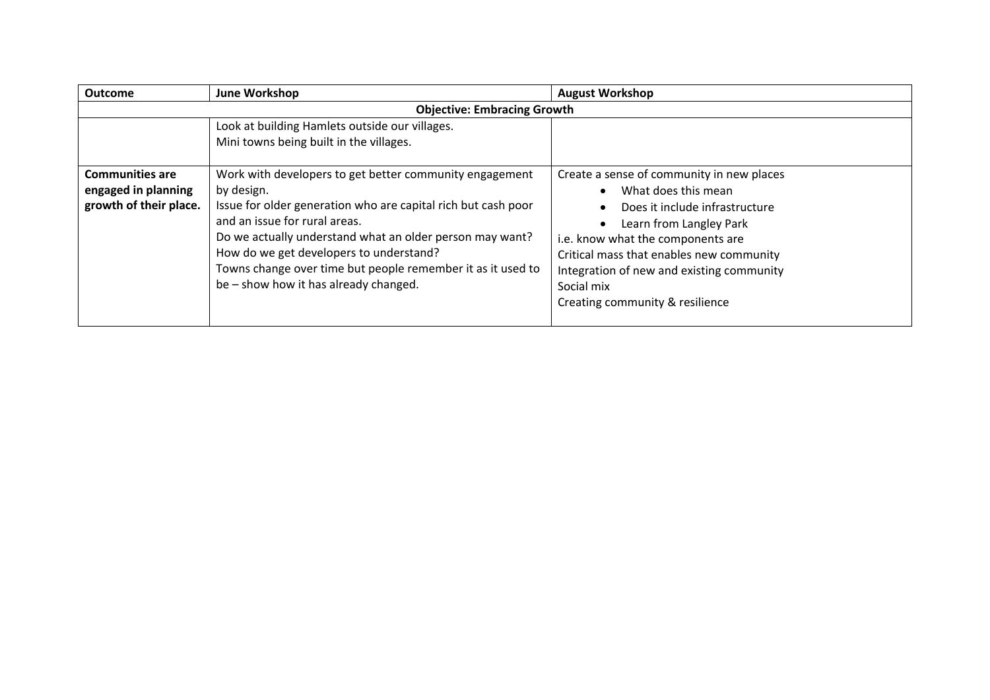| <b>Outcome</b>                                                          | June Workshop                                                                                                                                                                                                                                                                                                                                                                          | <b>August Workshop</b>                                                                                                                                                                                                                                                                                       |
|-------------------------------------------------------------------------|----------------------------------------------------------------------------------------------------------------------------------------------------------------------------------------------------------------------------------------------------------------------------------------------------------------------------------------------------------------------------------------|--------------------------------------------------------------------------------------------------------------------------------------------------------------------------------------------------------------------------------------------------------------------------------------------------------------|
|                                                                         | <b>Objective: Embracing Growth</b>                                                                                                                                                                                                                                                                                                                                                     |                                                                                                                                                                                                                                                                                                              |
|                                                                         | Look at building Hamlets outside our villages.<br>Mini towns being built in the villages.                                                                                                                                                                                                                                                                                              |                                                                                                                                                                                                                                                                                                              |
| <b>Communities are</b><br>engaged in planning<br>growth of their place. | Work with developers to get better community engagement<br>by design.<br>Issue for older generation who are capital rich but cash poor<br>and an issue for rural areas.<br>Do we actually understand what an older person may want?<br>How do we get developers to understand?<br>Towns change over time but people remember it as it used to<br>be – show how it has already changed. | Create a sense of community in new places<br>What does this mean<br>Does it include infrastructure<br>Learn from Langley Park<br>i.e. know what the components are<br>Critical mass that enables new community<br>Integration of new and existing community<br>Social mix<br>Creating community & resilience |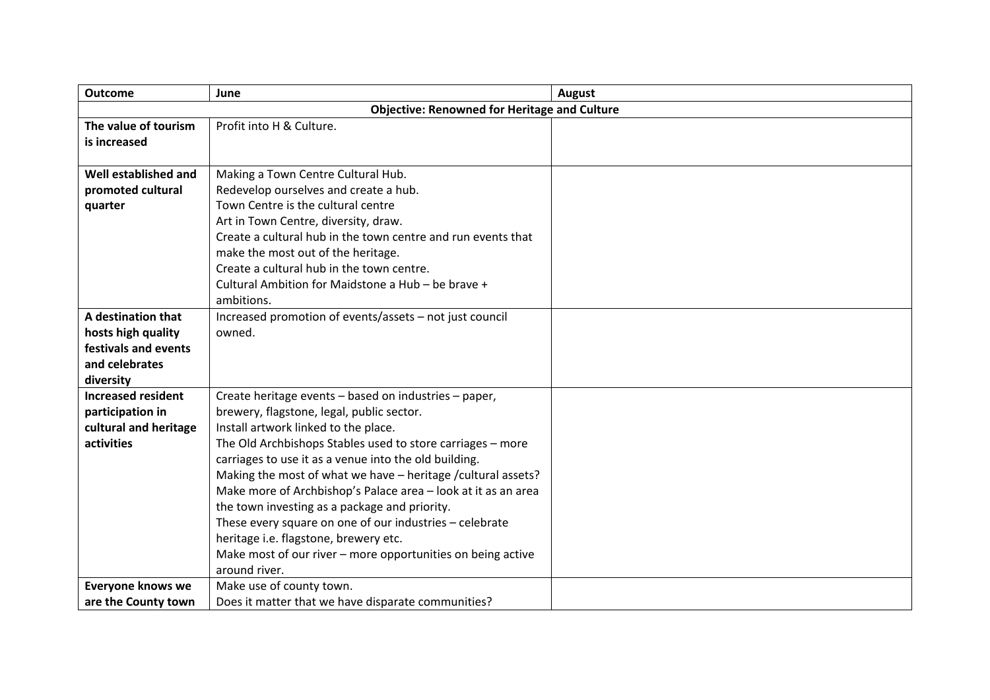| <b>Outcome</b>                             | June                                                          | <b>August</b> |
|--------------------------------------------|---------------------------------------------------------------|---------------|
|                                            | <b>Objective: Renowned for Heritage and Culture</b>           |               |
| The value of tourism                       | Profit into H & Culture.                                      |               |
| is increased                               |                                                               |               |
|                                            |                                                               |               |
| Well established and                       | Making a Town Centre Cultural Hub.                            |               |
| promoted cultural                          | Redevelop ourselves and create a hub.                         |               |
| quarter                                    | Town Centre is the cultural centre                            |               |
|                                            | Art in Town Centre, diversity, draw.                          |               |
|                                            | Create a cultural hub in the town centre and run events that  |               |
|                                            | make the most out of the heritage.                            |               |
|                                            | Create a cultural hub in the town centre.                     |               |
|                                            | Cultural Ambition for Maidstone a Hub - be brave +            |               |
|                                            | ambitions.                                                    |               |
| A destination that                         | Increased promotion of events/assets - not just council       |               |
| hosts high quality<br>festivals and events | owned.                                                        |               |
|                                            |                                                               |               |
| and celebrates<br>diversity                |                                                               |               |
| <b>Increased resident</b>                  | Create heritage events - based on industries - paper,         |               |
| participation in                           | brewery, flagstone, legal, public sector.                     |               |
| cultural and heritage                      | Install artwork linked to the place.                          |               |
| activities                                 | The Old Archbishops Stables used to store carriages - more    |               |
|                                            | carriages to use it as a venue into the old building.         |               |
|                                            | Making the most of what we have - heritage / cultural assets? |               |
|                                            | Make more of Archbishop's Palace area - look at it as an area |               |
|                                            | the town investing as a package and priority.                 |               |
|                                            | These every square on one of our industries - celebrate       |               |
|                                            | heritage i.e. flagstone, brewery etc.                         |               |
|                                            | Make most of our river - more opportunities on being active   |               |
|                                            | around river.                                                 |               |
| <b>Everyone knows we</b>                   | Make use of county town.                                      |               |
| are the County town                        | Does it matter that we have disparate communities?            |               |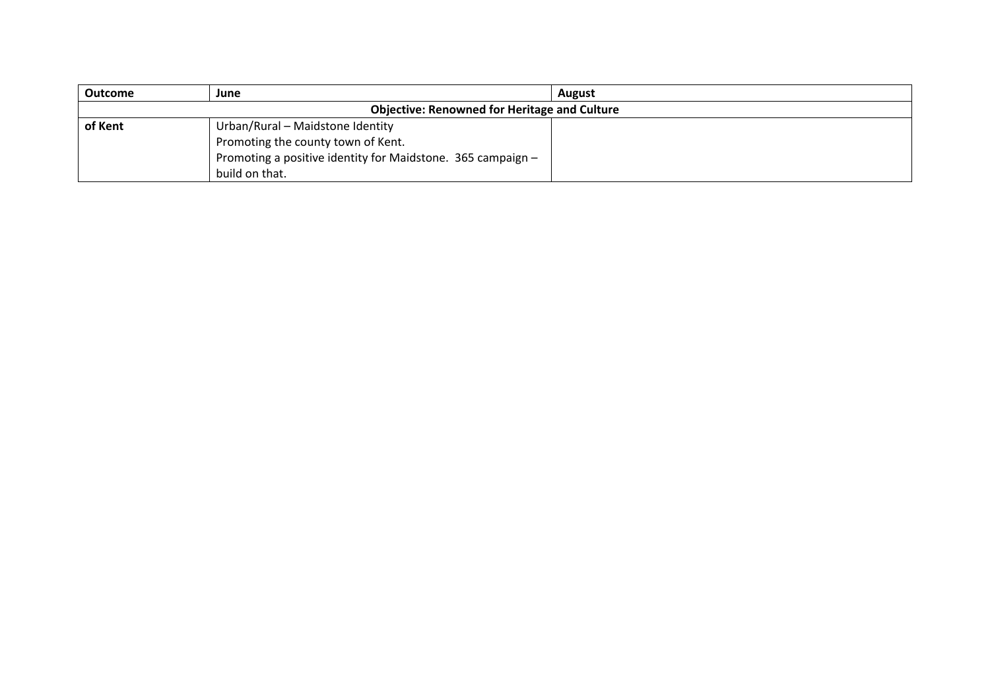| <b>Outcome</b>                                      | June                                                        | August |
|-----------------------------------------------------|-------------------------------------------------------------|--------|
| <b>Objective: Renowned for Heritage and Culture</b> |                                                             |        |
| of Kent                                             | Urban/Rural - Maidstone Identity                            |        |
|                                                     | Promoting the county town of Kent.                          |        |
|                                                     | Promoting a positive identity for Maidstone. 365 campaign - |        |
|                                                     | build on that.                                              |        |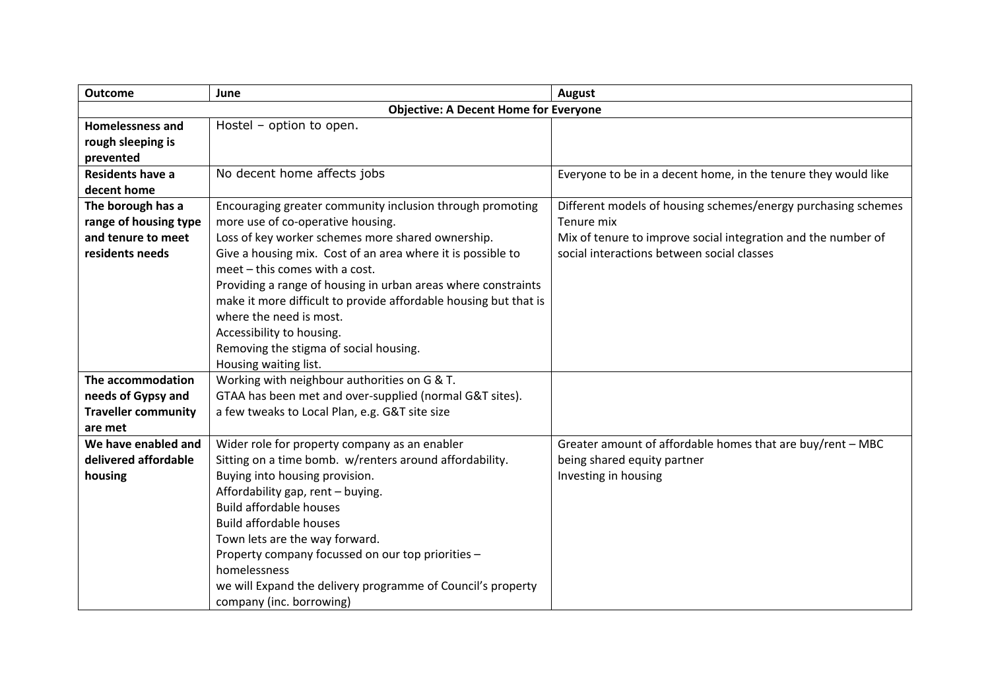| <b>Outcome</b>             | June                                                             | <b>August</b>                                                  |
|----------------------------|------------------------------------------------------------------|----------------------------------------------------------------|
|                            | <b>Objective: A Decent Home for Everyone</b>                     |                                                                |
| <b>Homelessness and</b>    | Hostel - option to open.                                         |                                                                |
| rough sleeping is          |                                                                  |                                                                |
| prevented                  |                                                                  |                                                                |
| Residents have a           | No decent home affects jobs                                      | Everyone to be in a decent home, in the tenure they would like |
| decent home                |                                                                  |                                                                |
| The borough has a          | Encouraging greater community inclusion through promoting        | Different models of housing schemes/energy purchasing schemes  |
| range of housing type      | more use of co-operative housing.                                | Tenure mix                                                     |
| and tenure to meet         | Loss of key worker schemes more shared ownership.                | Mix of tenure to improve social integration and the number of  |
| residents needs            | Give a housing mix. Cost of an area where it is possible to      | social interactions between social classes                     |
|                            | meet - this comes with a cost.                                   |                                                                |
|                            | Providing a range of housing in urban areas where constraints    |                                                                |
|                            | make it more difficult to provide affordable housing but that is |                                                                |
|                            | where the need is most.                                          |                                                                |
|                            | Accessibility to housing.                                        |                                                                |
|                            | Removing the stigma of social housing.                           |                                                                |
|                            | Housing waiting list.                                            |                                                                |
| The accommodation          | Working with neighbour authorities on G & T.                     |                                                                |
| needs of Gypsy and         | GTAA has been met and over-supplied (normal G&T sites).          |                                                                |
| <b>Traveller community</b> | a few tweaks to Local Plan, e.g. G&T site size                   |                                                                |
| are met                    |                                                                  |                                                                |
| We have enabled and        | Wider role for property company as an enabler                    | Greater amount of affordable homes that are buy/rent - MBC     |
| delivered affordable       | Sitting on a time bomb. w/renters around affordability.          | being shared equity partner                                    |
| housing                    | Buying into housing provision.                                   | Investing in housing                                           |
|                            | Affordability gap, rent - buying.                                |                                                                |
|                            | <b>Build affordable houses</b>                                   |                                                                |
|                            | <b>Build affordable houses</b>                                   |                                                                |
|                            | Town lets are the way forward.                                   |                                                                |
|                            | Property company focussed on our top priorities -                |                                                                |
|                            | homelessness                                                     |                                                                |
|                            | we will Expand the delivery programme of Council's property      |                                                                |
|                            | company (inc. borrowing)                                         |                                                                |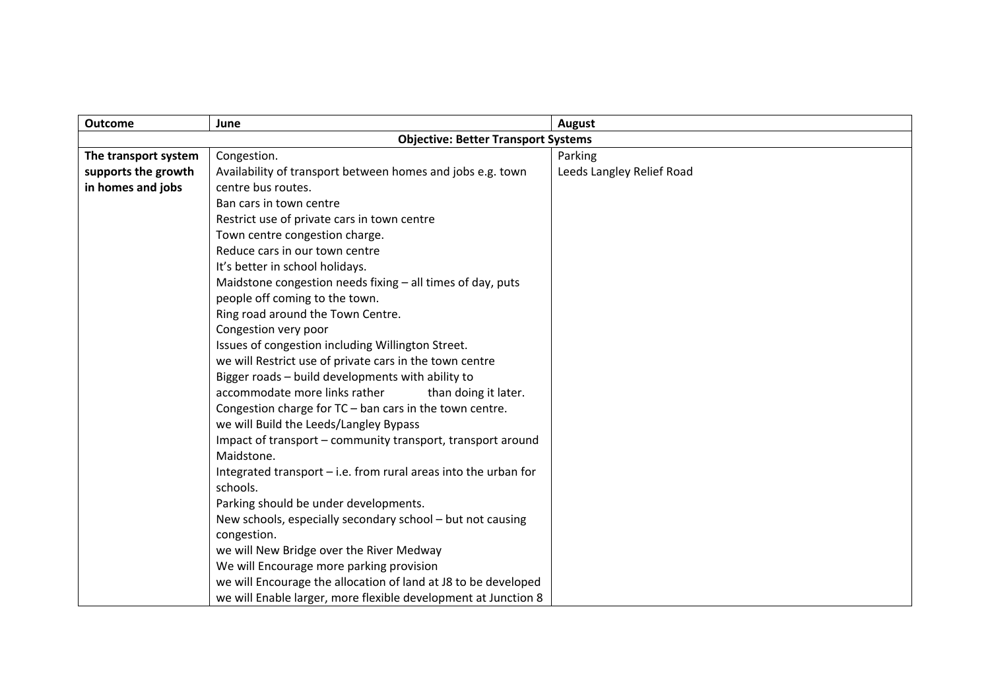| <b>Outcome</b>       | June                                                              | <b>August</b>             |
|----------------------|-------------------------------------------------------------------|---------------------------|
|                      | <b>Objective: Better Transport Systems</b>                        |                           |
| The transport system | Congestion.                                                       | Parking                   |
| supports the growth  | Availability of transport between homes and jobs e.g. town        | Leeds Langley Relief Road |
| in homes and jobs    | centre bus routes.                                                |                           |
|                      | Ban cars in town centre                                           |                           |
|                      | Restrict use of private cars in town centre                       |                           |
|                      | Town centre congestion charge.                                    |                           |
|                      | Reduce cars in our town centre                                    |                           |
|                      | It's better in school holidays.                                   |                           |
|                      | Maidstone congestion needs fixing - all times of day, puts        |                           |
|                      | people off coming to the town.                                    |                           |
|                      | Ring road around the Town Centre.                                 |                           |
|                      | Congestion very poor                                              |                           |
|                      | Issues of congestion including Willington Street.                 |                           |
|                      | we will Restrict use of private cars in the town centre           |                           |
|                      | Bigger roads - build developments with ability to                 |                           |
|                      | accommodate more links rather<br>than doing it later.             |                           |
|                      | Congestion charge for $TC$ – ban cars in the town centre.         |                           |
|                      | we will Build the Leeds/Langley Bypass                            |                           |
|                      | Impact of transport - community transport, transport around       |                           |
|                      | Maidstone.                                                        |                           |
|                      | Integrated transport $-$ i.e. from rural areas into the urban for |                           |
|                      | schools.                                                          |                           |
|                      | Parking should be under developments.                             |                           |
|                      | New schools, especially secondary school - but not causing        |                           |
|                      | congestion.                                                       |                           |
|                      | we will New Bridge over the River Medway                          |                           |
|                      | We will Encourage more parking provision                          |                           |
|                      | we will Encourage the allocation of land at J8 to be developed    |                           |
|                      | we will Enable larger, more flexible development at Junction 8    |                           |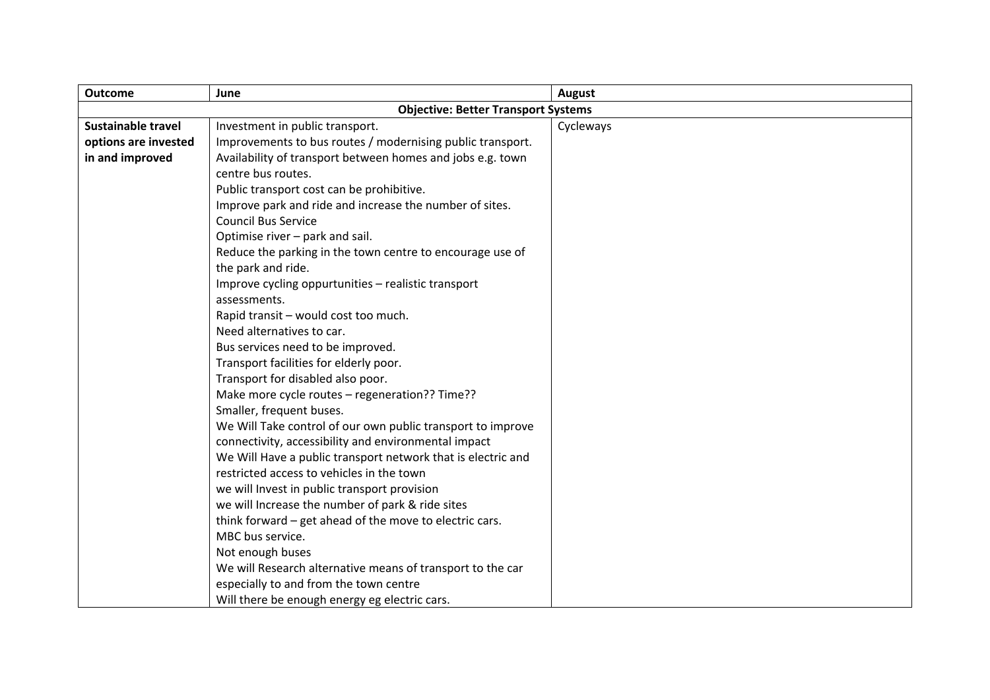| <b>Outcome</b>            | June                                                         | <b>August</b> |
|---------------------------|--------------------------------------------------------------|---------------|
|                           | <b>Objective: Better Transport Systems</b>                   |               |
| <b>Sustainable travel</b> | Investment in public transport.                              | Cycleways     |
| options are invested      | Improvements to bus routes / modernising public transport.   |               |
| in and improved           | Availability of transport between homes and jobs e.g. town   |               |
|                           | centre bus routes.                                           |               |
|                           | Public transport cost can be prohibitive.                    |               |
|                           | Improve park and ride and increase the number of sites.      |               |
|                           | <b>Council Bus Service</b>                                   |               |
|                           | Optimise river - park and sail.                              |               |
|                           | Reduce the parking in the town centre to encourage use of    |               |
|                           | the park and ride.                                           |               |
|                           | Improve cycling oppurtunities - realistic transport          |               |
|                           | assessments.                                                 |               |
|                           | Rapid transit - would cost too much.                         |               |
|                           | Need alternatives to car.                                    |               |
|                           | Bus services need to be improved.                            |               |
|                           | Transport facilities for elderly poor.                       |               |
|                           | Transport for disabled also poor.                            |               |
|                           | Make more cycle routes - regeneration?? Time??               |               |
|                           | Smaller, frequent buses.                                     |               |
|                           | We Will Take control of our own public transport to improve  |               |
|                           | connectivity, accessibility and environmental impact         |               |
|                           | We Will Have a public transport network that is electric and |               |
|                           | restricted access to vehicles in the town                    |               |
|                           | we will Invest in public transport provision                 |               |
|                           | we will Increase the number of park & ride sites             |               |
|                           | think forward - get ahead of the move to electric cars.      |               |
|                           | MBC bus service.                                             |               |
|                           | Not enough buses                                             |               |
|                           | We will Research alternative means of transport to the car   |               |
|                           | especially to and from the town centre                       |               |
|                           | Will there be enough energy eg electric cars.                |               |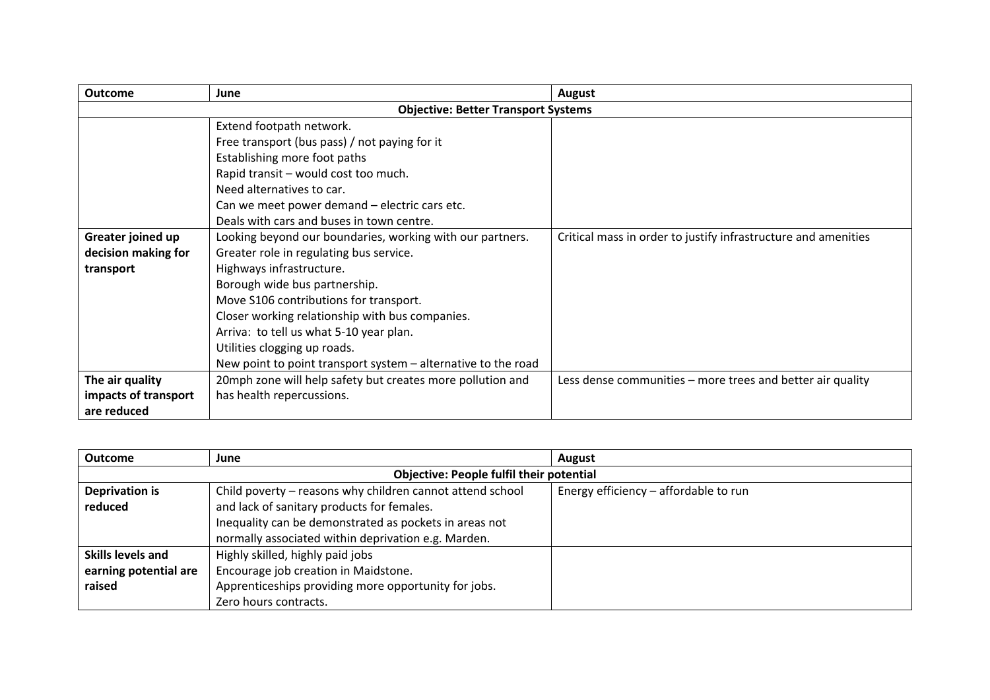| <b>Outcome</b>                             | June                                                          | August                                                         |
|--------------------------------------------|---------------------------------------------------------------|----------------------------------------------------------------|
| <b>Objective: Better Transport Systems</b> |                                                               |                                                                |
|                                            | Extend footpath network.                                      |                                                                |
|                                            | Free transport (bus pass) / not paying for it                 |                                                                |
|                                            | Establishing more foot paths                                  |                                                                |
|                                            | Rapid transit - would cost too much.                          |                                                                |
|                                            | Need alternatives to car.                                     |                                                                |
|                                            | Can we meet power demand - electric cars etc.                 |                                                                |
|                                            | Deals with cars and buses in town centre.                     |                                                                |
| Greater joined up                          | Looking beyond our boundaries, working with our partners.     | Critical mass in order to justify infrastructure and amenities |
| decision making for                        | Greater role in regulating bus service.                       |                                                                |
| transport                                  | Highways infrastructure.                                      |                                                                |
|                                            | Borough wide bus partnership.                                 |                                                                |
|                                            | Move S106 contributions for transport.                        |                                                                |
|                                            | Closer working relationship with bus companies.               |                                                                |
|                                            | Arriva: to tell us what 5-10 year plan.                       |                                                                |
|                                            | Utilities clogging up roads.                                  |                                                                |
|                                            | New point to point transport system – alternative to the road |                                                                |
| The air quality                            | 20mph zone will help safety but creates more pollution and    | Less dense communities - more trees and better air quality     |
| impacts of transport                       | has health repercussions.                                     |                                                                |
| are reduced                                |                                                               |                                                                |

| <b>Outcome</b>                                  | June                                                      | August                                |
|-------------------------------------------------|-----------------------------------------------------------|---------------------------------------|
| <b>Objective: People fulfil their potential</b> |                                                           |                                       |
| <b>Deprivation is</b>                           | Child poverty - reasons why children cannot attend school | Energy efficiency – affordable to run |
| reduced                                         | and lack of sanitary products for females.                |                                       |
|                                                 | Inequality can be demonstrated as pockets in areas not    |                                       |
|                                                 | normally associated within deprivation e.g. Marden.       |                                       |
| Skills levels and                               | Highly skilled, highly paid jobs                          |                                       |
| earning potential are                           | Encourage job creation in Maidstone.                      |                                       |
| raised                                          | Apprenticeships providing more opportunity for jobs.      |                                       |
|                                                 | Zero hours contracts.                                     |                                       |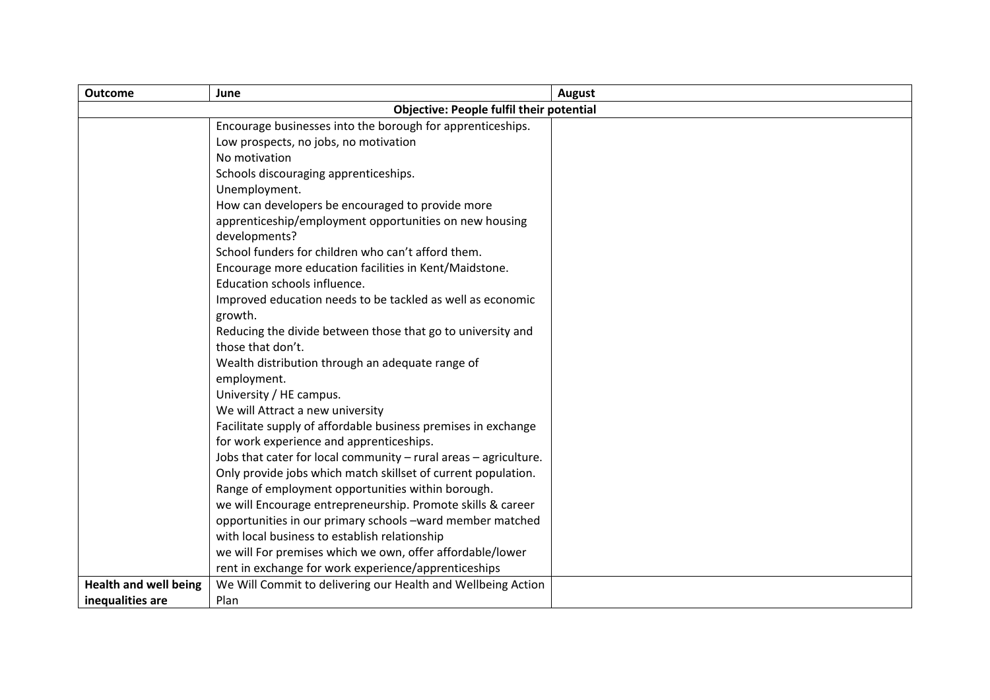| <b>Outcome</b>               | June                                                             | August |
|------------------------------|------------------------------------------------------------------|--------|
|                              | <b>Objective: People fulfil their potential</b>                  |        |
|                              | Encourage businesses into the borough for apprenticeships.       |        |
|                              | Low prospects, no jobs, no motivation                            |        |
|                              | No motivation                                                    |        |
|                              | Schools discouraging apprenticeships.                            |        |
|                              | Unemployment.                                                    |        |
|                              | How can developers be encouraged to provide more                 |        |
|                              | apprenticeship/employment opportunities on new housing           |        |
|                              | developments?                                                    |        |
|                              | School funders for children who can't afford them.               |        |
|                              | Encourage more education facilities in Kent/Maidstone.           |        |
|                              | Education schools influence.                                     |        |
|                              | Improved education needs to be tackled as well as economic       |        |
|                              | growth.                                                          |        |
|                              | Reducing the divide between those that go to university and      |        |
|                              | those that don't.                                                |        |
|                              | Wealth distribution through an adequate range of                 |        |
|                              | employment.                                                      |        |
|                              | University / HE campus.                                          |        |
|                              | We will Attract a new university                                 |        |
|                              | Facilitate supply of affordable business premises in exchange    |        |
|                              | for work experience and apprenticeships.                         |        |
|                              | Jobs that cater for local community - rural areas - agriculture. |        |
|                              | Only provide jobs which match skillset of current population.    |        |
|                              | Range of employment opportunities within borough.                |        |
|                              | we will Encourage entrepreneurship. Promote skills & career      |        |
|                              | opportunities in our primary schools -ward member matched        |        |
|                              | with local business to establish relationship                    |        |
|                              | we will For premises which we own, offer affordable/lower        |        |
|                              | rent in exchange for work experience/apprenticeships             |        |
| <b>Health and well being</b> | We Will Commit to delivering our Health and Wellbeing Action     |        |
| inequalities are             | Plan                                                             |        |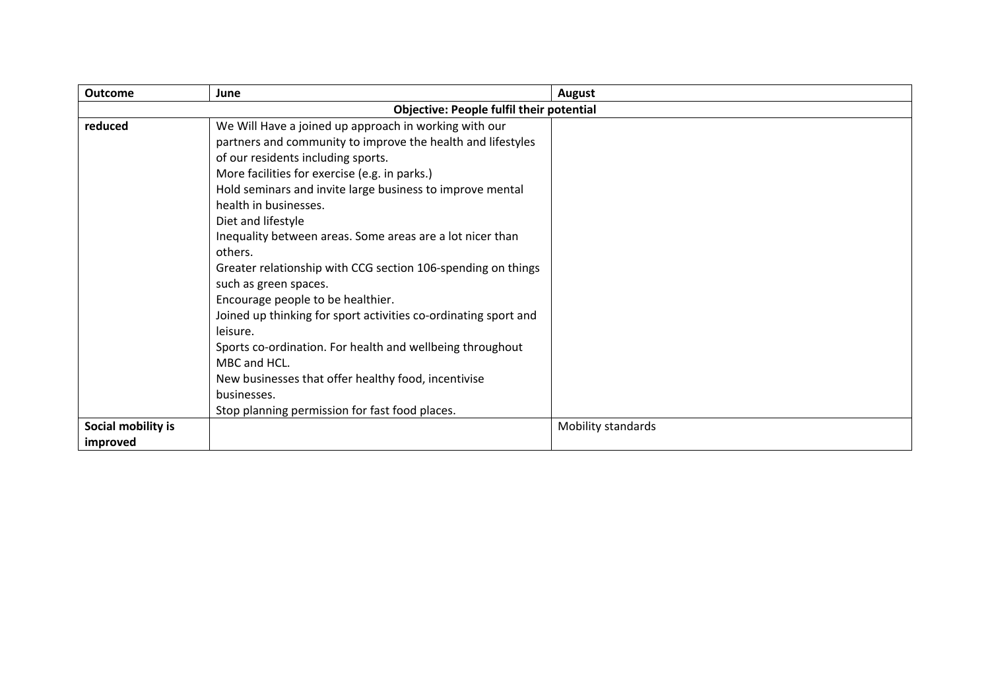| <b>Outcome</b>                 | June                                                                                                                                                                                                                                                                                                                                                                                                                                                                                                                                                                                                                                                                                                                                                            | August             |  |
|--------------------------------|-----------------------------------------------------------------------------------------------------------------------------------------------------------------------------------------------------------------------------------------------------------------------------------------------------------------------------------------------------------------------------------------------------------------------------------------------------------------------------------------------------------------------------------------------------------------------------------------------------------------------------------------------------------------------------------------------------------------------------------------------------------------|--------------------|--|
|                                | <b>Objective: People fulfil their potential</b>                                                                                                                                                                                                                                                                                                                                                                                                                                                                                                                                                                                                                                                                                                                 |                    |  |
| reduced                        | We Will Have a joined up approach in working with our<br>partners and community to improve the health and lifestyles<br>of our residents including sports.<br>More facilities for exercise (e.g. in parks.)<br>Hold seminars and invite large business to improve mental<br>health in businesses.<br>Diet and lifestyle<br>Inequality between areas. Some areas are a lot nicer than<br>others.<br>Greater relationship with CCG section 106-spending on things<br>such as green spaces.<br>Encourage people to be healthier.<br>Joined up thinking for sport activities co-ordinating sport and<br>leisure.<br>Sports co-ordination. For health and wellbeing throughout<br>MBC and HCL.<br>New businesses that offer healthy food, incentivise<br>businesses. |                    |  |
|                                | Stop planning permission for fast food places.                                                                                                                                                                                                                                                                                                                                                                                                                                                                                                                                                                                                                                                                                                                  |                    |  |
| Social mobility is<br>improved |                                                                                                                                                                                                                                                                                                                                                                                                                                                                                                                                                                                                                                                                                                                                                                 | Mobility standards |  |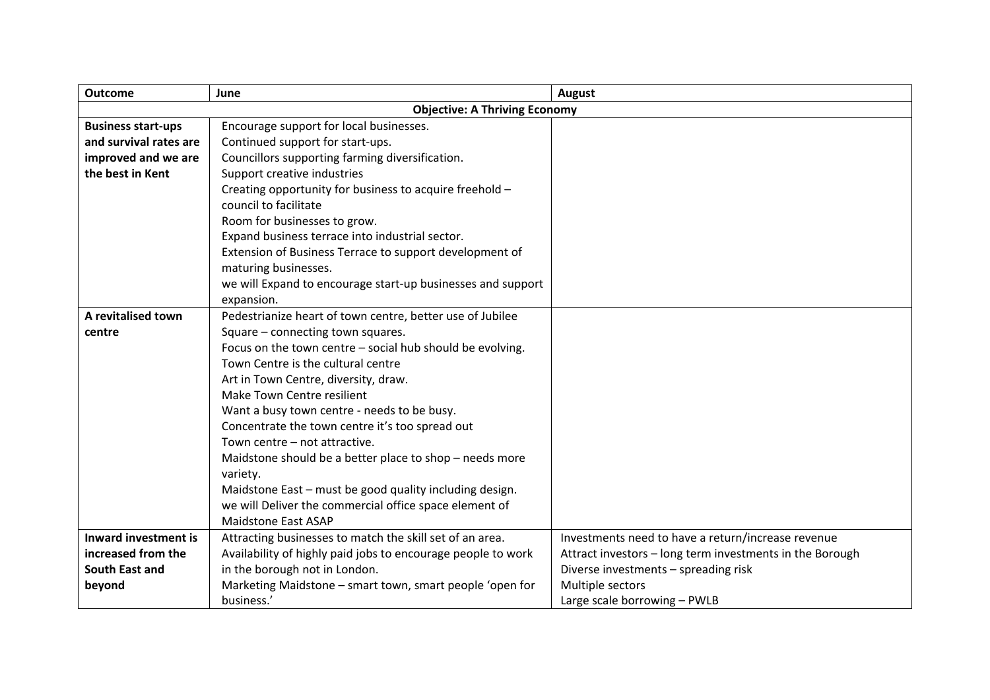| <b>Outcome</b>              | June                                                         | August                                                   |
|-----------------------------|--------------------------------------------------------------|----------------------------------------------------------|
|                             | <b>Objective: A Thriving Economy</b>                         |                                                          |
| <b>Business start-ups</b>   | Encourage support for local businesses.                      |                                                          |
| and survival rates are      | Continued support for start-ups.                             |                                                          |
| improved and we are         | Councillors supporting farming diversification.              |                                                          |
| the best in Kent            | Support creative industries                                  |                                                          |
|                             | Creating opportunity for business to acquire freehold -      |                                                          |
|                             | council to facilitate                                        |                                                          |
|                             | Room for businesses to grow.                                 |                                                          |
|                             | Expand business terrace into industrial sector.              |                                                          |
|                             | Extension of Business Terrace to support development of      |                                                          |
|                             | maturing businesses.                                         |                                                          |
|                             | we will Expand to encourage start-up businesses and support  |                                                          |
|                             | expansion.                                                   |                                                          |
| A revitalised town          | Pedestrianize heart of town centre, better use of Jubilee    |                                                          |
| centre                      | Square - connecting town squares.                            |                                                          |
|                             | Focus on the town centre - social hub should be evolving.    |                                                          |
|                             | Town Centre is the cultural centre                           |                                                          |
|                             | Art in Town Centre, diversity, draw.                         |                                                          |
|                             | Make Town Centre resilient                                   |                                                          |
|                             | Want a busy town centre - needs to be busy.                  |                                                          |
|                             | Concentrate the town centre it's too spread out              |                                                          |
|                             | Town centre - not attractive.                                |                                                          |
|                             | Maidstone should be a better place to shop - needs more      |                                                          |
|                             | variety.                                                     |                                                          |
|                             | Maidstone East - must be good quality including design.      |                                                          |
|                             | we will Deliver the commercial office space element of       |                                                          |
|                             | <b>Maidstone East ASAP</b>                                   |                                                          |
| <b>Inward investment is</b> | Attracting businesses to match the skill set of an area.     | Investments need to have a return/increase revenue       |
| increased from the          | Availability of highly paid jobs to encourage people to work | Attract investors - long term investments in the Borough |
| South East and              | in the borough not in London.                                | Diverse investments - spreading risk                     |
| beyond                      | Marketing Maidstone - smart town, smart people 'open for     | Multiple sectors                                         |
|                             | business.'                                                   | Large scale borrowing - PWLB                             |